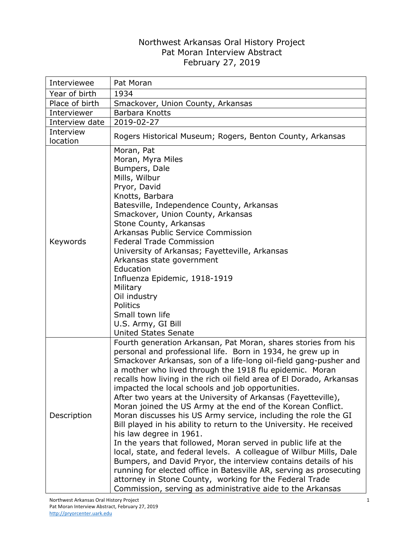## Northwest Arkansas Oral History Project Pat Moran Interview Abstract February 27, 2019

| Interviewee           | Pat Moran                                                                                                                                                                                                                                                                                                                                                                                                                                                                                                                                                                                                                                                                                                                                                                                                                                                                                                                                                                                                                                                                                                 |
|-----------------------|-----------------------------------------------------------------------------------------------------------------------------------------------------------------------------------------------------------------------------------------------------------------------------------------------------------------------------------------------------------------------------------------------------------------------------------------------------------------------------------------------------------------------------------------------------------------------------------------------------------------------------------------------------------------------------------------------------------------------------------------------------------------------------------------------------------------------------------------------------------------------------------------------------------------------------------------------------------------------------------------------------------------------------------------------------------------------------------------------------------|
| Year of birth         | 1934                                                                                                                                                                                                                                                                                                                                                                                                                                                                                                                                                                                                                                                                                                                                                                                                                                                                                                                                                                                                                                                                                                      |
| Place of birth        | Smackover, Union County, Arkansas                                                                                                                                                                                                                                                                                                                                                                                                                                                                                                                                                                                                                                                                                                                                                                                                                                                                                                                                                                                                                                                                         |
| Interviewer           | Barbara Knotts                                                                                                                                                                                                                                                                                                                                                                                                                                                                                                                                                                                                                                                                                                                                                                                                                                                                                                                                                                                                                                                                                            |
| Interview date        | 2019-02-27                                                                                                                                                                                                                                                                                                                                                                                                                                                                                                                                                                                                                                                                                                                                                                                                                                                                                                                                                                                                                                                                                                |
| Interview<br>location | Rogers Historical Museum; Rogers, Benton County, Arkansas                                                                                                                                                                                                                                                                                                                                                                                                                                                                                                                                                                                                                                                                                                                                                                                                                                                                                                                                                                                                                                                 |
| Keywords              | Moran, Pat<br>Moran, Myra Miles<br>Bumpers, Dale<br>Mills, Wilbur<br>Pryor, David<br>Knotts, Barbara<br>Batesville, Independence County, Arkansas<br>Smackover, Union County, Arkansas<br>Stone County, Arkansas<br>Arkansas Public Service Commission<br><b>Federal Trade Commission</b><br>University of Arkansas; Fayetteville, Arkansas<br>Arkansas state government<br>Education<br>Influenza Epidemic, 1918-1919<br>Military<br>Oil industry<br>Politics<br>Small town life<br>U.S. Army, GI Bill<br><b>United States Senate</b>                                                                                                                                                                                                                                                                                                                                                                                                                                                                                                                                                                    |
| Description           | Fourth generation Arkansan, Pat Moran, shares stories from his<br>personal and professional life. Born in 1934, he grew up in<br>Smackover Arkansas, son of a life-long oil-field gang-pusher and<br>a mother who lived through the 1918 flu epidemic. Moran<br>recalls how living in the rich oil field area of El Dorado, Arkansas<br>impacted the local schools and job opportunities.<br>After two years at the University of Arkansas (Fayetteville),<br>Moran joined the US Army at the end of the Korean Conflict.<br>Moran discusses his US Army service, including the role the GI<br>Bill played in his ability to return to the University. He received<br>his law degree in 1961.<br>In the years that followed, Moran served in public life at the<br>local, state, and federal levels. A colleague of Wilbur Mills, Dale<br>Bumpers, and David Pryor, the interview contains details of his<br>running for elected office in Batesville AR, serving as prosecuting<br>attorney in Stone County, working for the Federal Trade<br>Commission, serving as administrative aide to the Arkansas |